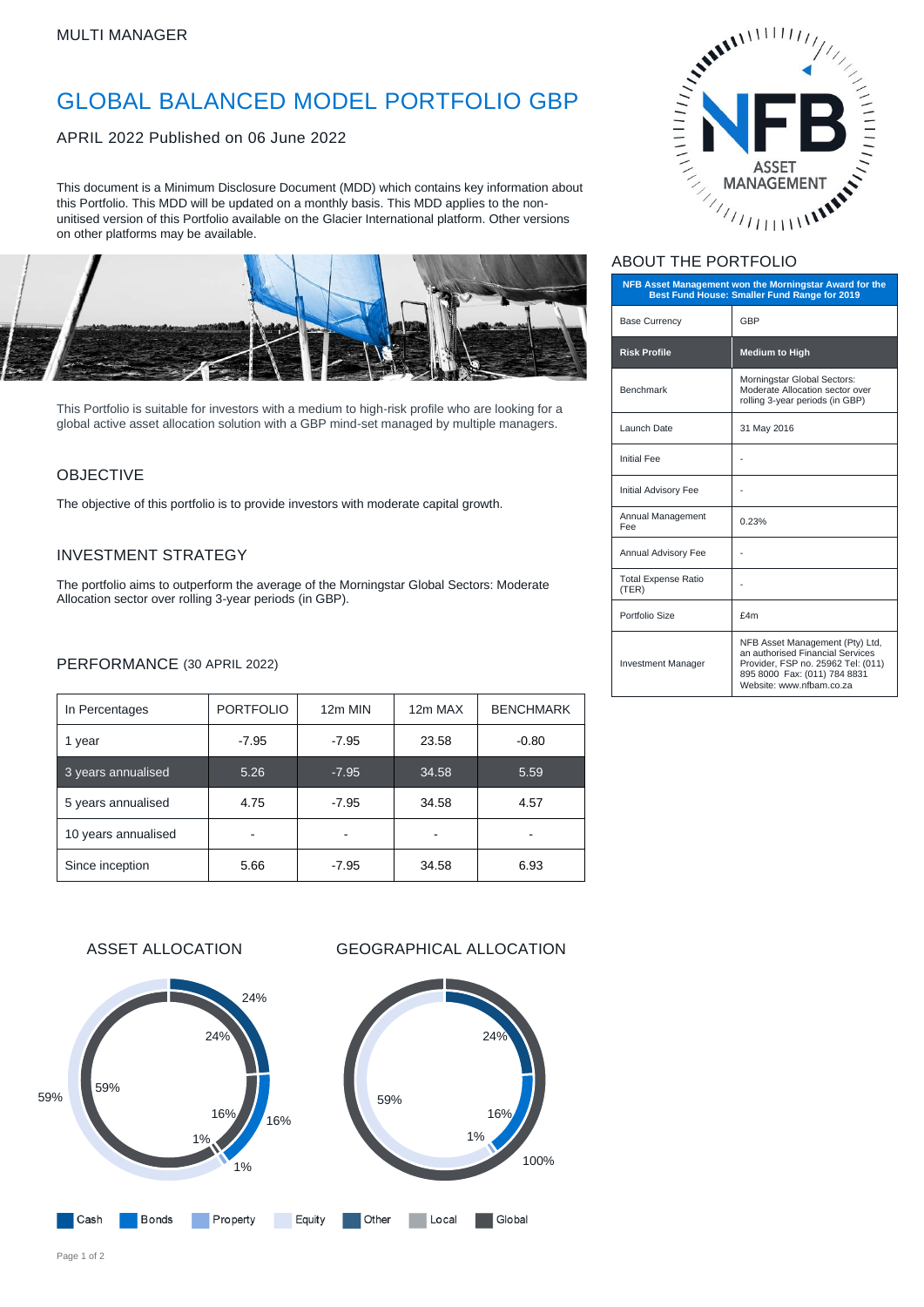# GLOBAL BALANCED MODEL PORTFOLIO GBP

APRIL 2022 Published on 06 June 2022

This document is a Minimum Disclosure Document (MDD) which contains key information about this Portfolio. This MDD will be updated on a monthly basis. This MDD applies to the nonunitised version of this Portfolio available on the Glacier International platform. Other versions on other platforms may be available.



This Portfolio is suitable for investors with a medium to high-risk profile who are looking for a global active asset allocation solution with a GBP mind-set managed by multiple managers.

### OBJECTIVE

The objective of this portfolio is to provide investors with moderate capital growth.

### INVESTMENT STRATEGY

The portfolio aims to outperform the average of the Morningstar Global Sectors: Moderate Allocation sector over rolling 3-year periods (in GBP).

### PERFORMANCE (30 APRIL 2022)

| In Percentages      | <b>PORTFOLIO</b> | 12m MIN | 12m MAX | <b>BENCHMARK</b> |
|---------------------|------------------|---------|---------|------------------|
| 1 year              | $-7.95$          | $-7.95$ | 23.58   | $-0.80$          |
| 3 years annualised  | 5.26             | $-7.95$ | 34.58   | 5.59             |
| 5 years annualised  | 4.75             | $-7.95$ | 34.58   | 4.57             |
| 10 years annualised |                  |         |         |                  |
| Since inception     | 5.66             | $-7.95$ | 34.58   | 6.93             |



### ABOUT THE PORTFOLIO

| NFB Asset Management won the Morningstar Award for the<br>Best Fund House: Smaller Fund Range for 2019 |                                                                                                                                                                       |  |  |
|--------------------------------------------------------------------------------------------------------|-----------------------------------------------------------------------------------------------------------------------------------------------------------------------|--|--|
| <b>Base Currency</b>                                                                                   | GBP                                                                                                                                                                   |  |  |
| <b>Risk Profile</b>                                                                                    | <b>Medium to High</b>                                                                                                                                                 |  |  |
| <b>Benchmark</b>                                                                                       | Morningstar Global Sectors:<br>Moderate Allocation sector over<br>rolling 3-year periods (in GBP)                                                                     |  |  |
| Launch Date                                                                                            | 31 May 2016                                                                                                                                                           |  |  |
| <b>Initial Fee</b>                                                                                     |                                                                                                                                                                       |  |  |
| <b>Initial Advisory Fee</b>                                                                            |                                                                                                                                                                       |  |  |
| Annual Management<br>Fee                                                                               | 0.23%                                                                                                                                                                 |  |  |
| Annual Advisory Fee                                                                                    |                                                                                                                                                                       |  |  |
| <b>Total Expense Ratio</b><br>(TER)                                                                    |                                                                                                                                                                       |  |  |
| Portfolio Size                                                                                         | f4m                                                                                                                                                                   |  |  |
| <b>Investment Manager</b>                                                                              | NFB Asset Management (Pty) Ltd,<br>an authorised Financial Services<br>Provider, FSP no. 25962 Tel: (011)<br>895 8000 Fax: (011) 784 8831<br>Website: www.nfbam.co.za |  |  |

ASSET ALLOCATION GEOGRAPHICAL ALLOCATION



Page 1 of 2